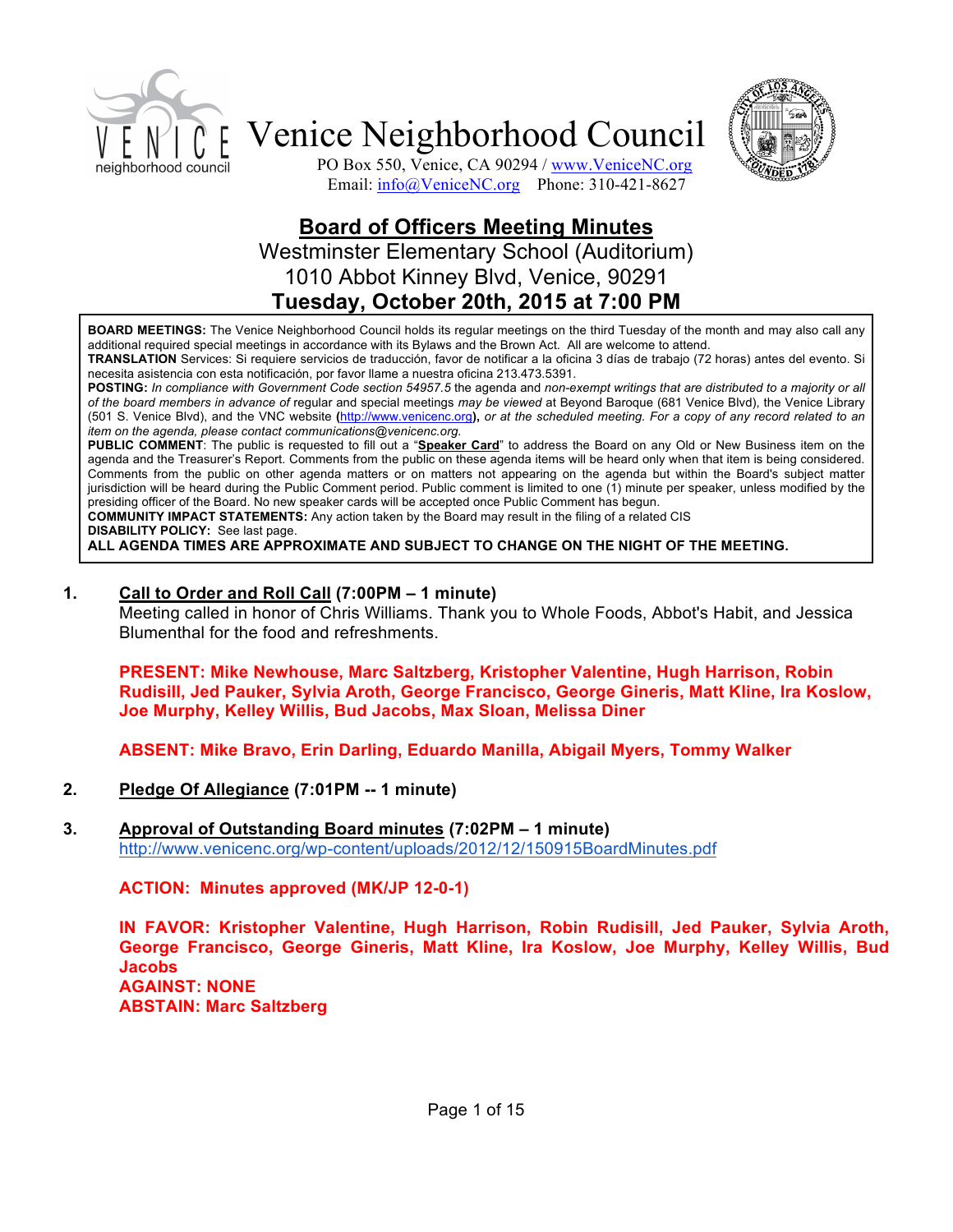



PO Box 550, Venice, CA 90294 / www.VeniceNC.org Email:  $info@V$ eniceNC.org Phone: 310-421-8627

# **Board of Officers Meeting Minutes** Westminster Elementary School (Auditorium) 1010 Abbot Kinney Blvd, Venice, 90291 **Tuesday, October 20th, 2015 at 7:00 PM**

**BOARD MEETINGS:** The Venice Neighborhood Council holds its regular meetings on the third Tuesday of the month and may also call any additional required special meetings in accordance with its Bylaws and the Brown Act. All are welcome to attend.

**TRANSLATION** Services: Si requiere servicios de traducción, favor de notificar a la oficina 3 días de trabajo (72 horas) antes del evento. Si necesita asistencia con esta notificación, por favor llame a nuestra oficina 213.473.5391.

**POSTING:** *In compliance with Government Code section 54957.5* the agenda and *non-exempt writings that are distributed to a majority or all of the board members in advance of* regular and special meetings *may be viewed* at Beyond Baroque (681 Venice Blvd), the Venice Library (501 S. Venice Blvd), and the VNC website **(**http://www.venicenc.org**),** *or at the scheduled meeting. For a copy of any record related to an item on the agenda, please contact communications@venicenc.org.*

**PUBLIC COMMENT**: The public is requested to fill out a "**Speaker Card**" to address the Board on any Old or New Business item on the agenda and the Treasurer's Report. Comments from the public on these agenda items will be heard only when that item is being considered. Comments from the public on other agenda matters or on matters not appearing on the agenda but within the Board's subject matter jurisdiction will be heard during the Public Comment period. Public comment is limited to one (1) minute per speaker, unless modified by the presiding officer of the Board. No new speaker cards will be accepted once Public Comment has begun.

**COMMUNITY IMPACT STATEMENTS:** Any action taken by the Board may result in the filing of a related CIS

**DISABILITY POLICY:** See last page.

**ALL AGENDA TIMES ARE APPROXIMATE AND SUBJECT TO CHANGE ON THE NIGHT OF THE MEETING.**

#### **1. Call to Order and Roll Call (7:00PM – 1 minute)**

Meeting called in honor of Chris Williams. Thank you to Whole Foods, Abbot's Habit, and Jessica Blumenthal for the food and refreshments.

**PRESENT: Mike Newhouse, Marc Saltzberg, Kristopher Valentine, Hugh Harrison, Robin Rudisill, Jed Pauker, Sylvia Aroth, George Francisco, George Gineris, Matt Kline, Ira Koslow, Joe Murphy, Kelley Willis, Bud Jacobs, Max Sloan, Melissa Diner**

**ABSENT: Mike Bravo, Erin Darling, Eduardo Manilla, Abigail Myers, Tommy Walker**

- **2. Pledge Of Allegiance (7:01PM -- 1 minute)**
- **3. Approval of Outstanding Board minutes (7:02PM 1 minute)** http://www.venicenc.org/wp-content/uploads/2012/12/150915BoardMinutes.pdf

**ACTION: Minutes approved (MK/JP 12-0-1)**

**IN FAVOR: Kristopher Valentine, Hugh Harrison, Robin Rudisill, Jed Pauker, Sylvia Aroth, George Francisco, George Gineris, Matt Kline, Ira Koslow, Joe Murphy, Kelley Willis, Bud Jacobs AGAINST: NONE ABSTAIN: Marc Saltzberg**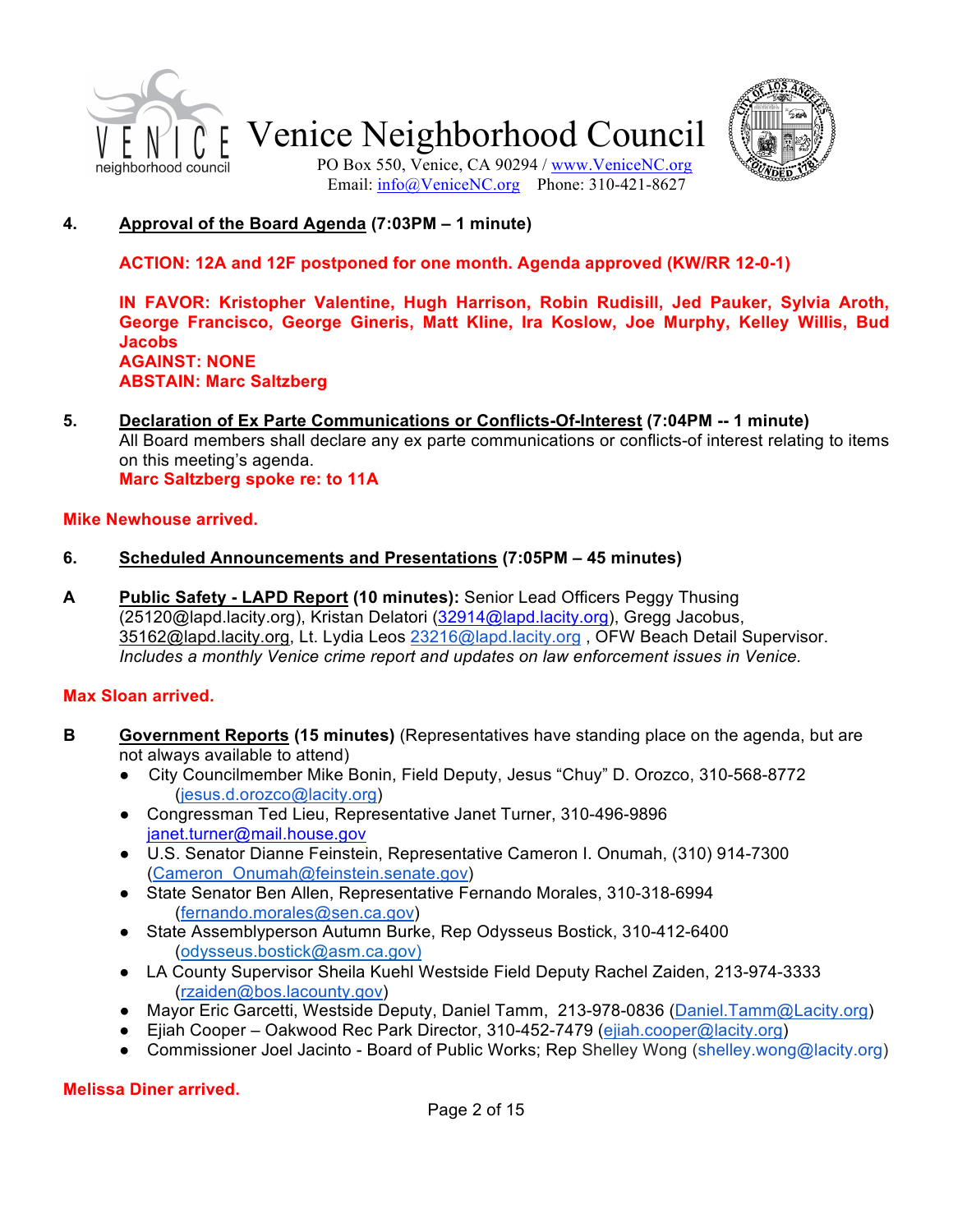



PO Box 550, Venice, CA 90294 / www.VeniceNC.org Email:  $info@V$ eniceNC.org Phone: 310-421-8627

### **4. Approval of the Board Agenda (7:03PM – 1 minute)**

**ACTION: 12A and 12F postponed for one month. Agenda approved (KW/RR 12-0-1)**

**IN FAVOR: Kristopher Valentine, Hugh Harrison, Robin Rudisill, Jed Pauker, Sylvia Aroth, George Francisco, George Gineris, Matt Kline, Ira Koslow, Joe Murphy, Kelley Willis, Bud Jacobs AGAINST: NONE ABSTAIN: Marc Saltzberg**

**5. Declaration of Ex Parte Communications or Conflicts-Of-Interest (7:04PM -- 1 minute)**  All Board members shall declare any ex parte communications or conflicts-of interest relating to items on this meeting's agenda. **Marc Saltzberg spoke re: to 11A**

**Mike Newhouse arrived.**

- **6. Scheduled Announcements and Presentations (7:05PM 45 minutes)**
- **A Public Safety LAPD Report (10 minutes):** Senior Lead Officers Peggy Thusing (25120@lapd.lacity.org), Kristan Delatori (32914@lapd.lacity.org), Gregg Jacobus, 35162@lapd.lacity.org, Lt. Lydia Leos 23216@lapd.lacity.org, OFW Beach Detail Supervisor. *Includes a monthly Venice crime report and updates on law enforcement issues in Venice.*

### **Max Sloan arrived.**

- **B Government Reports (15 minutes)** (Representatives have standing place on the agenda, but are not always available to attend)
	- City Councilmember Mike Bonin, Field Deputy, Jesus "Chuy" D. Orozco, 310-568-8772 (jesus.d.orozco@lacity.org)
	- Congressman Ted Lieu, Representative Janet Turner, 310-496-9896 janet.turner@mail.house.gov
	- U.S. Senator Dianne Feinstein, Representative Cameron I. Onumah, (310) 914-7300 (Cameron\_Onumah@feinstein.senate.gov)
	- State Senator Ben Allen, Representative Fernando Morales, 310-318-6994 (fernando.morales@sen.ca.gov)
	- State Assemblyperson Autumn Burke, Rep Odysseus Bostick, 310-412-6400 (odysseus.bostick@asm.ca.gov)
	- LA County Supervisor Sheila Kuehl Westside Field Deputy Rachel Zaiden, 213-974-3333 (rzaiden@bos.lacounty.gov)
	- Mayor Eric Garcetti, Westside Deputy, Daniel Tamm, 213-978-0836 (Daniel.Tamm@Lacity.org)
	- Eiiah Cooper Oakwood Rec Park Director, 310-452-7479 (ejiah.cooper@lacity.org)
	- Commissioner Joel Jacinto Board of Public Works; Rep Shelley Wong (shelley.wong@lacity.org)

### **Melissa Diner arrived.**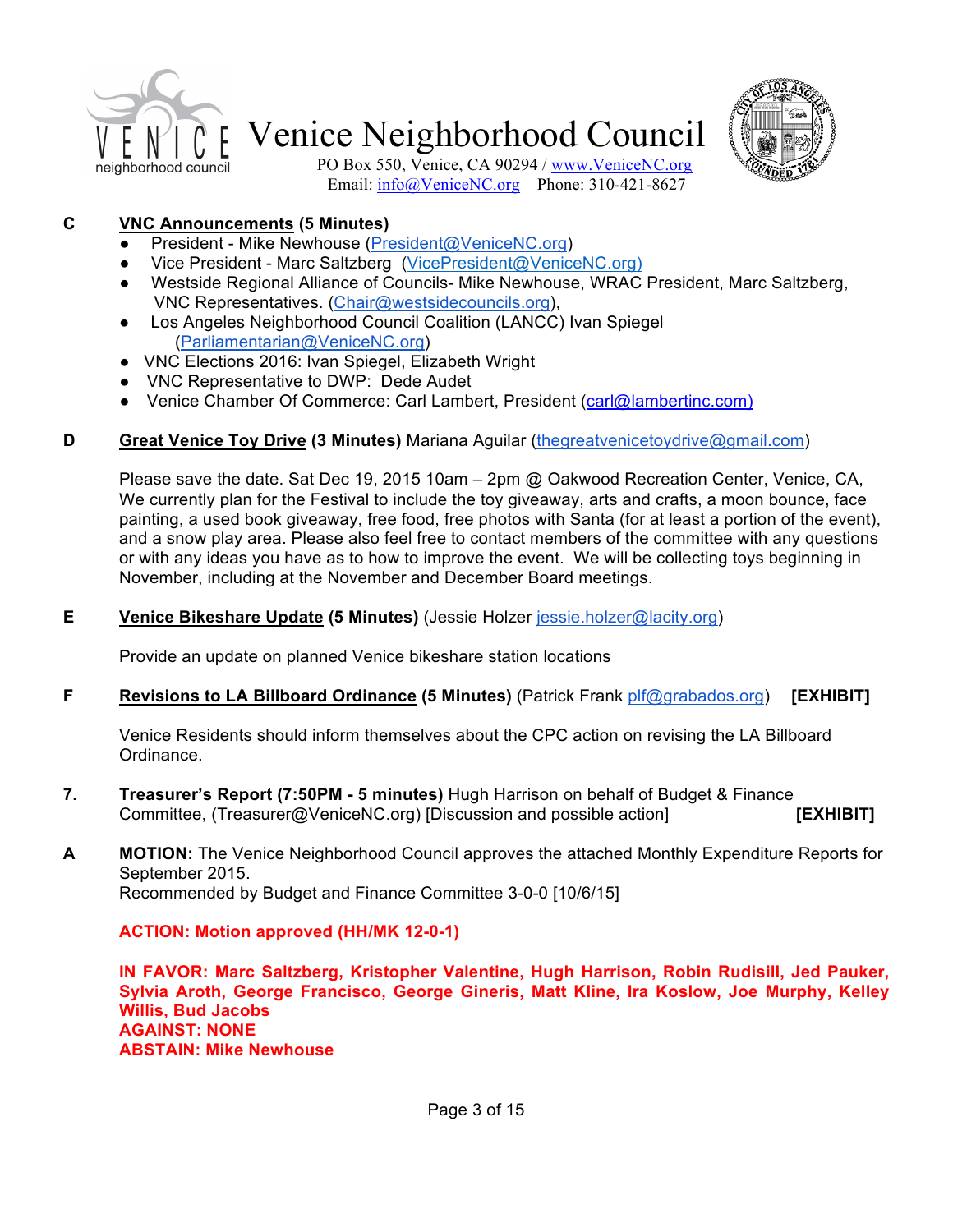



PO Box 550, Venice, CA 90294 / www.VeniceNC.org Email: info@VeniceNC.org Phone: 310-421-8627

### **C VNC Announcements (5 Minutes)**

- President Mike Newhouse (President@VeniceNC.org)
- Vice President Marc Saltzberg (VicePresident@VeniceNC.org)
- Westside Regional Alliance of Councils- Mike Newhouse, WRAC President, Marc Saltzberg, VNC Representatives. (Chair@westsidecouncils.org),
- Los Angeles Neighborhood Council Coalition (LANCC) Ivan Spiegel (Parliamentarian@VeniceNC.org)
- VNC Elections 2016: Ivan Spiegel, Elizabeth Wright
- VNC Representative to DWP: Dede Audet
- Venice Chamber Of Commerce: Carl Lambert, President (carl@lambertinc.com)

#### **D Great Venice Toy Drive (3 Minutes)** Mariana Aguilar (thegreatvenicetoydrive@gmail.com)

Please save the date. Sat Dec 19, 2015 10am – 2pm @ Oakwood Recreation Center, Venice, CA, We currently plan for the Festival to include the toy giveaway, arts and crafts, a moon bounce, face painting, a used book giveaway, free food, free photos with Santa (for at least a portion of the event), and a snow play area. Please also feel free to contact members of the committee with any questions or with any ideas you have as to how to improve the event. We will be collecting toys beginning in November, including at the November and December Board meetings.

#### **E Venice Bikeshare Update (5 Minutes)** (Jessie Holzer jessie.holzer@lacity.org)

Provide an update on planned Venice bikeshare station locations

#### **F Revisions to LA Billboard Ordinance (5 Minutes)** (Patrick Frank plf@grabados.org) **[EXHIBIT]**

Venice Residents should inform themselves about the CPC action on revising the LA Billboard Ordinance.

- **7. Treasurer's Report (7:50PM 5 minutes)** Hugh Harrison on behalf of Budget & Finance Committee, (Treasurer@VeniceNC.org) [Discussion and possible action] **[EXHIBIT]**
- **A MOTION:** The Venice Neighborhood Council approves the attached Monthly Expenditure Reports for September 2015. Recommended by Budget and Finance Committee 3-0-0 [10/6/15]

#### **ACTION: Motion approved (HH/MK 12-0-1)**

**IN FAVOR: Marc Saltzberg, Kristopher Valentine, Hugh Harrison, Robin Rudisill, Jed Pauker, Sylvia Aroth, George Francisco, George Gineris, Matt Kline, Ira Koslow, Joe Murphy, Kelley Willis, Bud Jacobs AGAINST: NONE ABSTAIN: Mike Newhouse**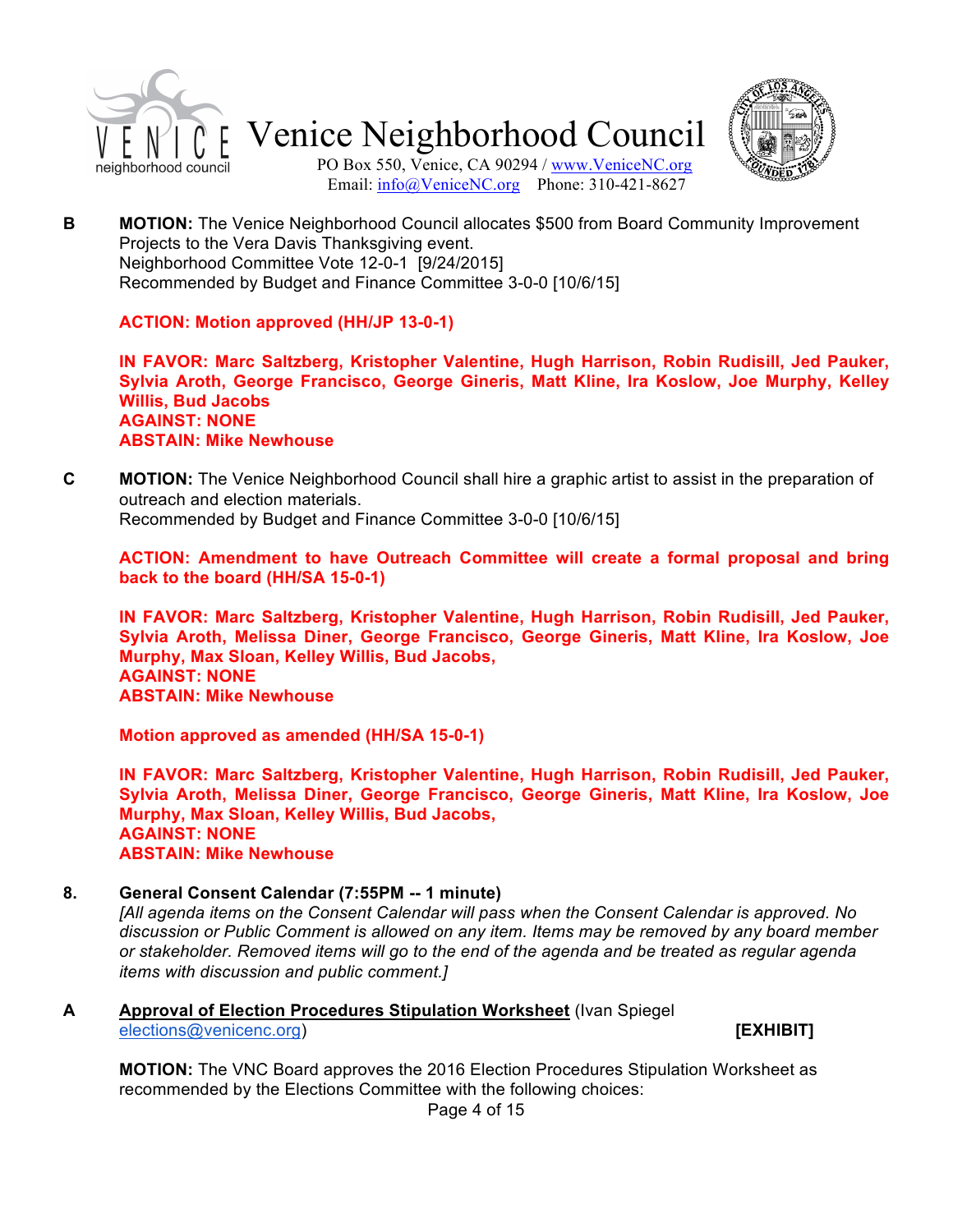



PO Box 550, Venice, CA 90294 / www.VeniceNC.org Email: info@VeniceNC.org Phone: 310-421-8627

**B MOTION:** The Venice Neighborhood Council allocates \$500 from Board Community Improvement Projects to the Vera Davis Thanksgiving event. Neighborhood Committee Vote 12-0-1 [9/24/2015] Recommended by Budget and Finance Committee 3-0-0 [10/6/15]

#### **ACTION: Motion approved (HH/JP 13-0-1)**

**IN FAVOR: Marc Saltzberg, Kristopher Valentine, Hugh Harrison, Robin Rudisill, Jed Pauker, Sylvia Aroth, George Francisco, George Gineris, Matt Kline, Ira Koslow, Joe Murphy, Kelley Willis, Bud Jacobs AGAINST: NONE ABSTAIN: Mike Newhouse**

**C MOTION:** The Venice Neighborhood Council shall hire a graphic artist to assist in the preparation of outreach and election materials. Recommended by Budget and Finance Committee 3-0-0 [10/6/15]

**ACTION: Amendment to have Outreach Committee will create a formal proposal and bring back to the board (HH/SA 15-0-1)**

**IN FAVOR: Marc Saltzberg, Kristopher Valentine, Hugh Harrison, Robin Rudisill, Jed Pauker, Sylvia Aroth, Melissa Diner, George Francisco, George Gineris, Matt Kline, Ira Koslow, Joe Murphy, Max Sloan, Kelley Willis, Bud Jacobs, AGAINST: NONE ABSTAIN: Mike Newhouse**

**Motion approved as amended (HH/SA 15-0-1)**

**IN FAVOR: Marc Saltzberg, Kristopher Valentine, Hugh Harrison, Robin Rudisill, Jed Pauker, Sylvia Aroth, Melissa Diner, George Francisco, George Gineris, Matt Kline, Ira Koslow, Joe Murphy, Max Sloan, Kelley Willis, Bud Jacobs, AGAINST: NONE ABSTAIN: Mike Newhouse**

### **8. General Consent Calendar (7:55PM -- 1 minute)**

*[All agenda items on the Consent Calendar will pass when the Consent Calendar is approved. No discussion or Public Comment is allowed on any item. Items may be removed by any board member or stakeholder. Removed items will go to the end of the agenda and be treated as regular agenda items with discussion and public comment.]*

### **A Approval of Election Procedures Stipulation Worksheet** (Ivan Spiegel elections@venicenc.org) **[EXHIBIT]**

**MOTION:** The VNC Board approves the 2016 Election Procedures Stipulation Worksheet as recommended by the Elections Committee with the following choices:

Page 4 of 15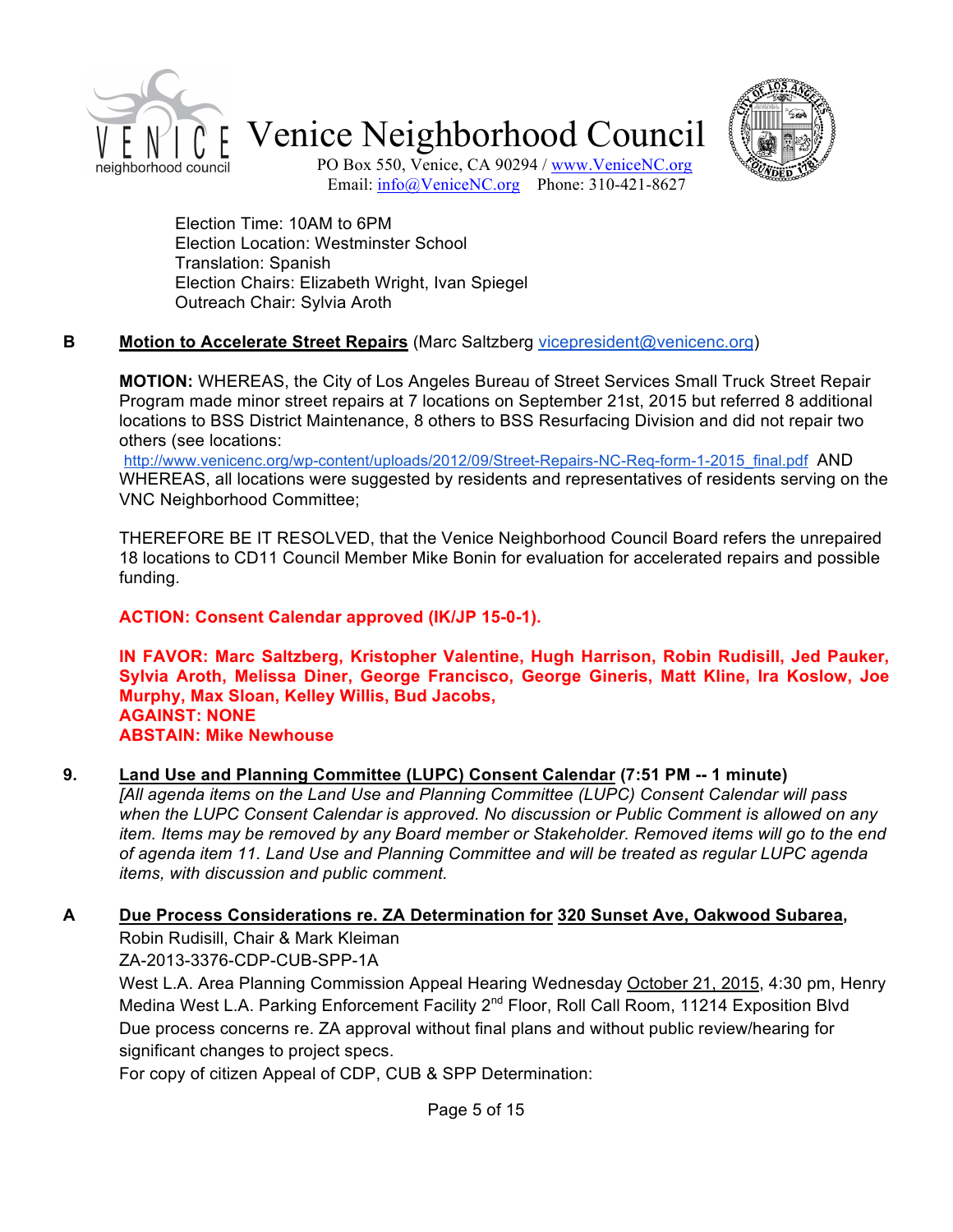



PO Box 550, Venice, CA 90294 / www.VeniceNC.org Email: info@VeniceNC.org Phone: 310-421-8627

Election Time: 10AM to 6PM Election Location: Westminster School Translation: Spanish Election Chairs: Elizabeth Wright, Ivan Spiegel Outreach Chair: Sylvia Aroth

### **B Motion to Accelerate Street Repairs** (Marc Saltzberg vicepresident@venicenc.org)

**MOTION:** WHEREAS, the City of Los Angeles Bureau of Street Services Small Truck Street Repair Program made minor street repairs at 7 locations on September 21st, 2015 but referred 8 additional locations to BSS District Maintenance, 8 others to BSS Resurfacing Division and did not repair two others (see locations:

http://www.venicenc.org/wp-content/uploads/2012/09/Street-Repairs-NC-Req-form-1-2015\_final.pdf AND WHEREAS, all locations were suggested by residents and representatives of residents serving on the VNC Neighborhood Committee;

THEREFORE BE IT RESOLVED, that the Venice Neighborhood Council Board refers the unrepaired 18 locations to CD11 Council Member Mike Bonin for evaluation for accelerated repairs and possible funding.

#### **ACTION: Consent Calendar approved (IK/JP 15-0-1).**

**IN FAVOR: Marc Saltzberg, Kristopher Valentine, Hugh Harrison, Robin Rudisill, Jed Pauker, Sylvia Aroth, Melissa Diner, George Francisco, George Gineris, Matt Kline, Ira Koslow, Joe Murphy, Max Sloan, Kelley Willis, Bud Jacobs, AGAINST: NONE ABSTAIN: Mike Newhouse**

#### **9. Land Use and Planning Committee (LUPC) Consent Calendar (7:51 PM -- 1 minute)**

*[All agenda items on the Land Use and Planning Committee (LUPC) Consent Calendar will pass when the LUPC Consent Calendar is approved. No discussion or Public Comment is allowed on any item. Items may be removed by any Board member or Stakeholder. Removed items will go to the end of agenda item 11. Land Use and Planning Committee and will be treated as regular LUPC agenda items, with discussion and public comment.*

#### **A Due Process Considerations re. ZA Determination for 320 Sunset Ave, Oakwood Subarea,**

Robin Rudisill, Chair & Mark Kleiman ZA-2013-3376-CDP-CUB-SPP-1A

West L.A. Area Planning Commission Appeal Hearing Wednesday October 21, 2015, 4:30 pm, Henry Medina West L.A. Parking Enforcement Facility 2<sup>nd</sup> Floor, Roll Call Room, 11214 Exposition Blvd Due process concerns re. ZA approval without final plans and without public review/hearing for significant changes to project specs.

For copy of citizen Appeal of CDP, CUB & SPP Determination: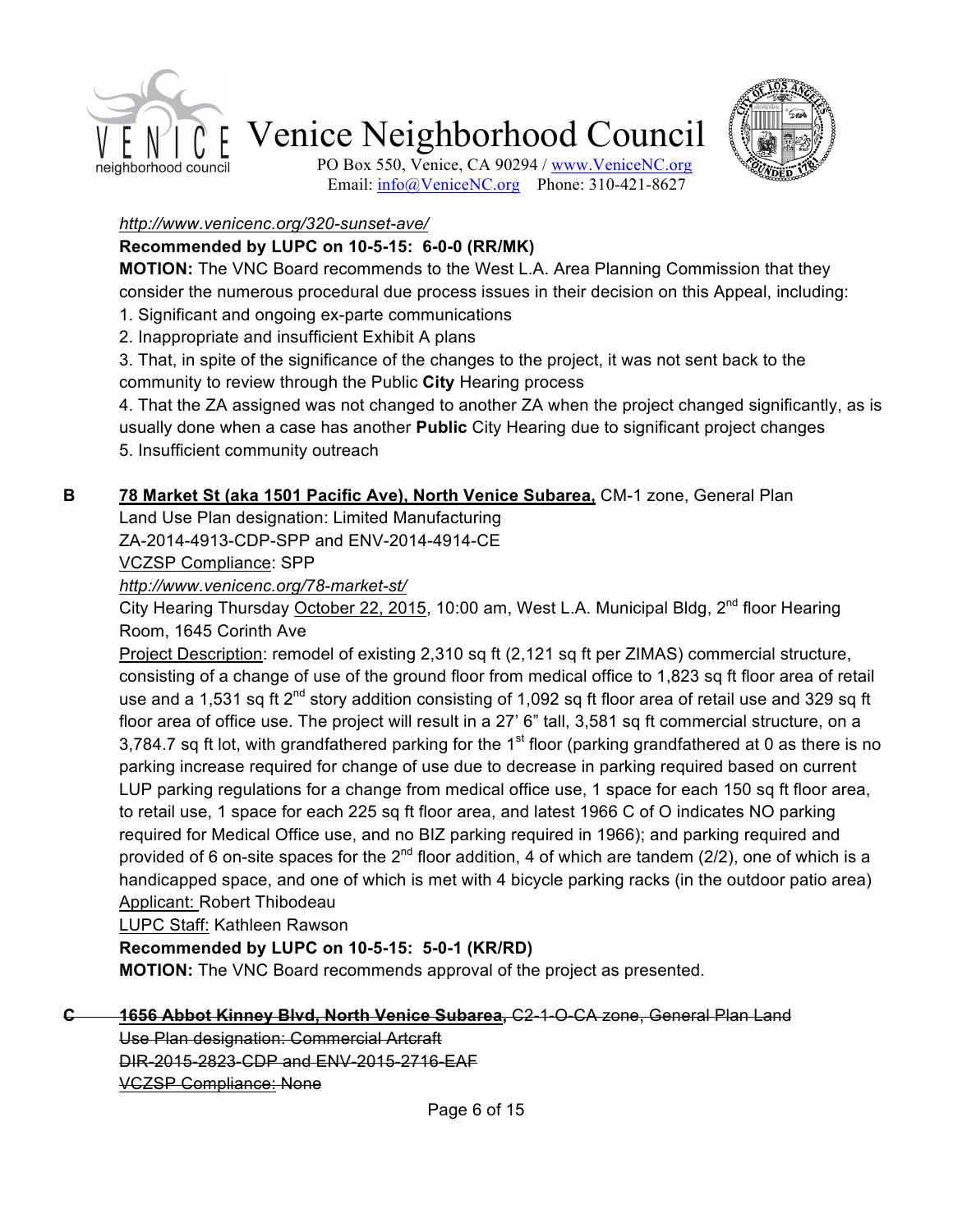



PO Box 550, Venice, CA 90294 / www.VeniceNC.org Email: info@VeniceNC.org Phone: 310-421-8627

### *http://www.venicenc.org/320-sunset-ave/*

### **Recommended by LUPC on 10-5-15: 6-0-0 (RR/MK)**

**MOTION:** The VNC Board recommends to the West L.A. Area Planning Commission that they consider the numerous procedural due process issues in their decision on this Appeal, including:

1. Significant and ongoing ex-parte communications

2. Inappropriate and insufficient Exhibit A plans

3. That, in spite of the significance of the changes to the project, it was not sent back to the community to review through the Public **City** Hearing process

4. That the ZA assigned was not changed to another ZA when the project changed significantly, as is usually done when a case has another **Public** City Hearing due to significant project changes 5. Insufficient community outreach

## **B 78 Market St (aka 1501 Pacific Ave), North Venice Subarea,** CM-1 zone, General Plan

Land Use Plan designation: Limited Manufacturing

ZA-2014-4913-CDP-SPP and ENV-2014-4914-CE

VCZSP Compliance: SPP

*http://www.venicenc.org/78-market-st/*

City Hearing Thursday October 22, 2015, 10:00 am, West L.A. Municipal Bldg,  $2^{nd}$  floor Hearing Room, 1645 Corinth Ave

Project Description: remodel of existing 2,310 sq ft (2,121 sq ft per ZIMAS) commercial structure, consisting of a change of use of the ground floor from medical office to 1,823 sq ft floor area of retail use and a 1,531 sq ft 2<sup>nd</sup> story addition consisting of 1,092 sq ft floor area of retail use and 329 sq ft floor area of office use. The project will result in a 27' 6" tall, 3,581 sq ft commercial structure, on a 3,784.7 sq ft lot, with grandfathered parking for the 1<sup>st</sup> floor (parking grandfathered at 0 as there is no parking increase required for change of use due to decrease in parking required based on current LUP parking regulations for a change from medical office use, 1 space for each 150 sq ft floor area, to retail use, 1 space for each 225 sq ft floor area, and latest 1966 C of O indicates NO parking required for Medical Office use, and no BIZ parking required in 1966); and parking required and provided of 6 on-site spaces for the  $2^{nd}$  floor addition, 4 of which are tandem (2/2), one of which is a handicapped space, and one of which is met with 4 bicycle parking racks (in the outdoor patio area) Applicant: Robert Thibodeau

LUPC Staff: Kathleen Rawson

# **Recommended by LUPC on 10-5-15: 5-0-1 (KR/RD)**

**MOTION:** The VNC Board recommends approval of the project as presented.

## **C 1656 Abbot Kinney Blvd, North Venice Subarea,** C2-1-O-CA zone, General Plan Land

Use Plan designation: Commercial Artcraft DIR-2015-2823-CDP and ENV-2015-2716-EAF VCZSP Compliance: None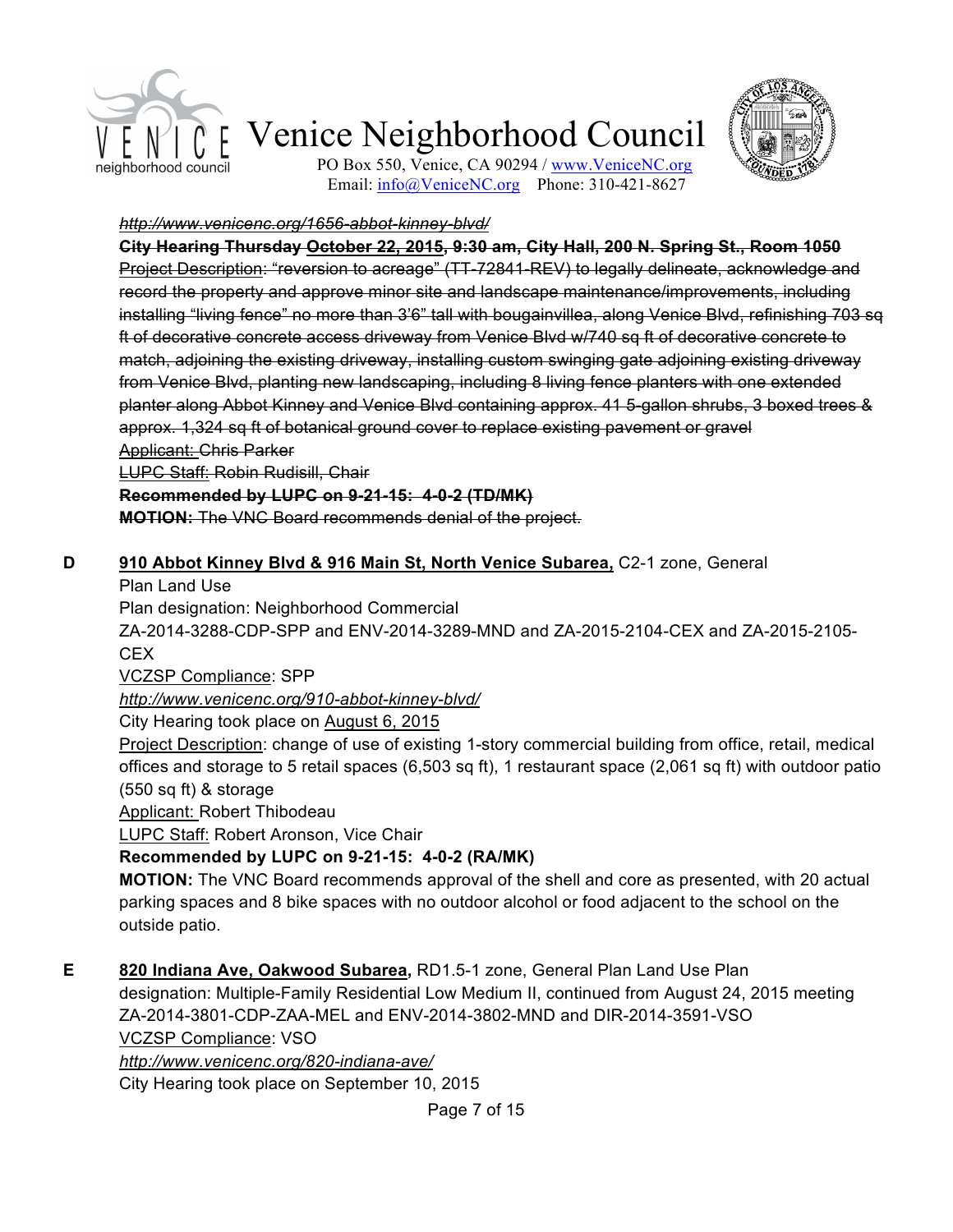



PO Box 550, Venice, CA 90294 / www.VeniceNC.org Email: info@VeniceNC.org Phone: 310-421-8627

#### *http://www.venicenc.org/1656-abbot-kinney-blvd/*

**City Hearing Thursday October 22, 2015, 9:30 am, City Hall, 200 N. Spring St., Room 1050** Project Description: "reversion to acreage" (TT-72841-REV) to legally delineate, acknowledge and record the property and approve minor site and landscape maintenance/improvements, including installing "living fence" no more than 3'6" tall with bougainvillea, along Venice Blvd, refinishing 703 sq ft of decorative concrete access driveway from Venice Blvd w/740 sq ft of decorative concrete to match, adjoining the existing driveway, installing custom swinging gate adjoining existing driveway from Venice Blvd, planting new landscaping, including 8 living fence planters with one extended planter along Abbot Kinney and Venice Blvd containing approx. 41 5-gallon shrubs, 3 boxed trees & approx. 1,324 sq ft of botanical ground cover to replace existing pavement or gravel Applicant: Chris Parker

LUPC Staff: Robin Rudisill, Chair

### **Recommended by LUPC on 9-21-15: 4-0-2 (TD/MK)**

**MOTION:** The VNC Board recommends denial of the project.

### **D 910 Abbot Kinney Blvd & 916 Main St, North Venice Subarea,** C2-1 zone, General

Plan Land Use

Plan designation: Neighborhood Commercial

ZA-2014-3288-CDP-SPP and ENV-2014-3289-MND and ZA-2015-2104-CEX and ZA-2015-2105- CEX

VCZSP Compliance: SPP

*http://www.venicenc.org/910-abbot-kinney-blvd/*

City Hearing took place on August 6, 2015

Project Description: change of use of existing 1-story commercial building from office, retail, medical offices and storage to 5 retail spaces (6,503 sq ft), 1 restaurant space (2,061 sq ft) with outdoor patio (550 sq ft) & storage

Applicant: Robert Thibodeau

LUPC Staff: Robert Aronson, Vice Chair

## **Recommended by LUPC on 9-21-15: 4-0-2 (RA/MK)**

**MOTION:** The VNC Board recommends approval of the shell and core as presented, with 20 actual parking spaces and 8 bike spaces with no outdoor alcohol or food adjacent to the school on the outside patio.

**E 820 Indiana Ave, Oakwood Subarea,** RD1.5-1 zone, General Plan Land Use Plan designation: Multiple-Family Residential Low Medium II, continued from August 24, 2015 meeting ZA-2014-3801-CDP-ZAA-MEL and ENV-2014-3802-MND and DIR-2014-3591-VSO VCZSP Compliance: VSO

*http://www.venicenc.org/820-indiana-ave/*

City Hearing took place on September 10, 2015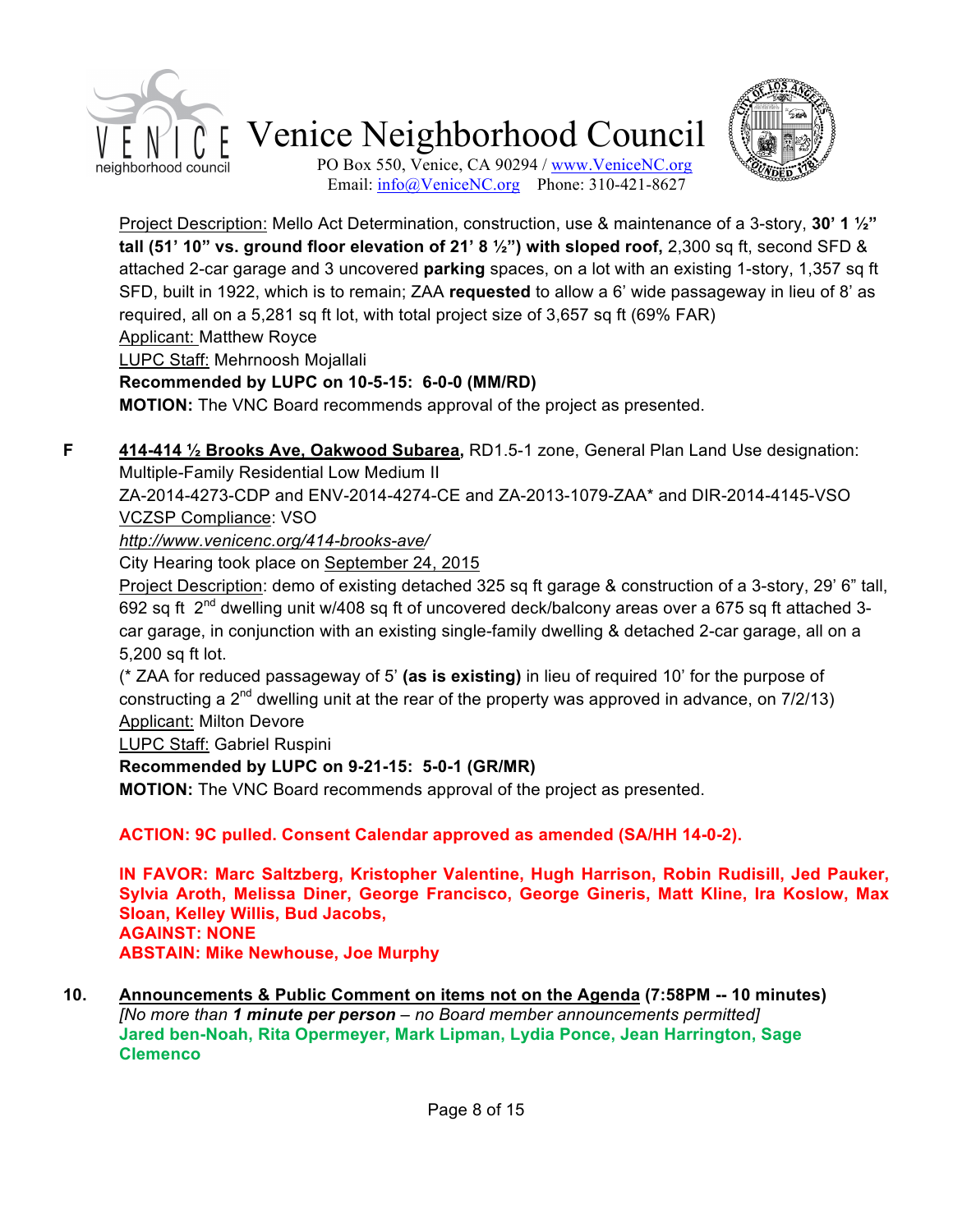

PO Box 550, Venice, CA 90294 / www.VeniceNC.org Email: info@VeniceNC.org Phone: 310-421-8627

Project Description: Mello Act Determination, construction, use & maintenance of a 3-story, **30' 1 ½" tall (51' 10" vs. ground floor elevation of 21' 8 ½") with sloped roof,** 2,300 sq ft, second SFD & attached 2-car garage and 3 uncovered **parking** spaces, on a lot with an existing 1-story, 1,357 sq ft SFD, built in 1922, which is to remain; ZAA **requested** to allow a 6' wide passageway in lieu of 8' as required, all on a 5,281 sq ft lot, with total project size of 3,657 sq ft (69% FAR) Applicant: Matthew Royce LUPC Staff: Mehrnoosh Mojallali

**Recommended by LUPC on 10-5-15: 6-0-0 (MM/RD)**

**MOTION:** The VNC Board recommends approval of the project as presented.

**F 414-414 ½ Brooks Ave, Oakwood Subarea,** RD1.5-1 zone, General Plan Land Use designation:

Multiple-Family Residential Low Medium II

ZA-2014-4273-CDP and ENV-2014-4274-CE and ZA-2013-1079-ZAA\* and DIR-2014-4145-VSO VCZSP Compliance: VSO

### *http://www.venicenc.org/414-brooks-ave/*

City Hearing took place on September 24, 2015

Project Description: demo of existing detached 325 sq ft garage & construction of a 3-story, 29' 6" tall, 692 sq ft  $2^{nd}$  dwelling unit w/408 sq ft of uncovered deck/balcony areas over a 675 sq ft attached 3car garage, in conjunction with an existing single-family dwelling & detached 2-car garage, all on a 5,200 sq ft lot.

(\* ZAA for reduced passageway of 5' **(as is existing)** in lieu of required 10' for the purpose of constructing a  $2^{nd}$  dwelling unit at the rear of the property was approved in advance, on  $7/2/13$ ) Applicant: Milton Devore

LUPC Staff: Gabriel Ruspini

## **Recommended by LUPC on 9-21-15: 5-0-1 (GR/MR)**

**MOTION:** The VNC Board recommends approval of the project as presented.

**ACTION: 9C pulled. Consent Calendar approved as amended (SA/HH 14-0-2).**

**IN FAVOR: Marc Saltzberg, Kristopher Valentine, Hugh Harrison, Robin Rudisill, Jed Pauker, Sylvia Aroth, Melissa Diner, George Francisco, George Gineris, Matt Kline, Ira Koslow, Max Sloan, Kelley Willis, Bud Jacobs, AGAINST: NONE ABSTAIN: Mike Newhouse, Joe Murphy**

**10. Announcements & Public Comment on items not on the Agenda (7:58PM -- 10 minutes)** *[No more than 1 minute per person – no Board member announcements permitted]* **Jared ben-Noah, Rita Opermeyer, Mark Lipman, Lydia Ponce, Jean Harrington, Sage Clemenco**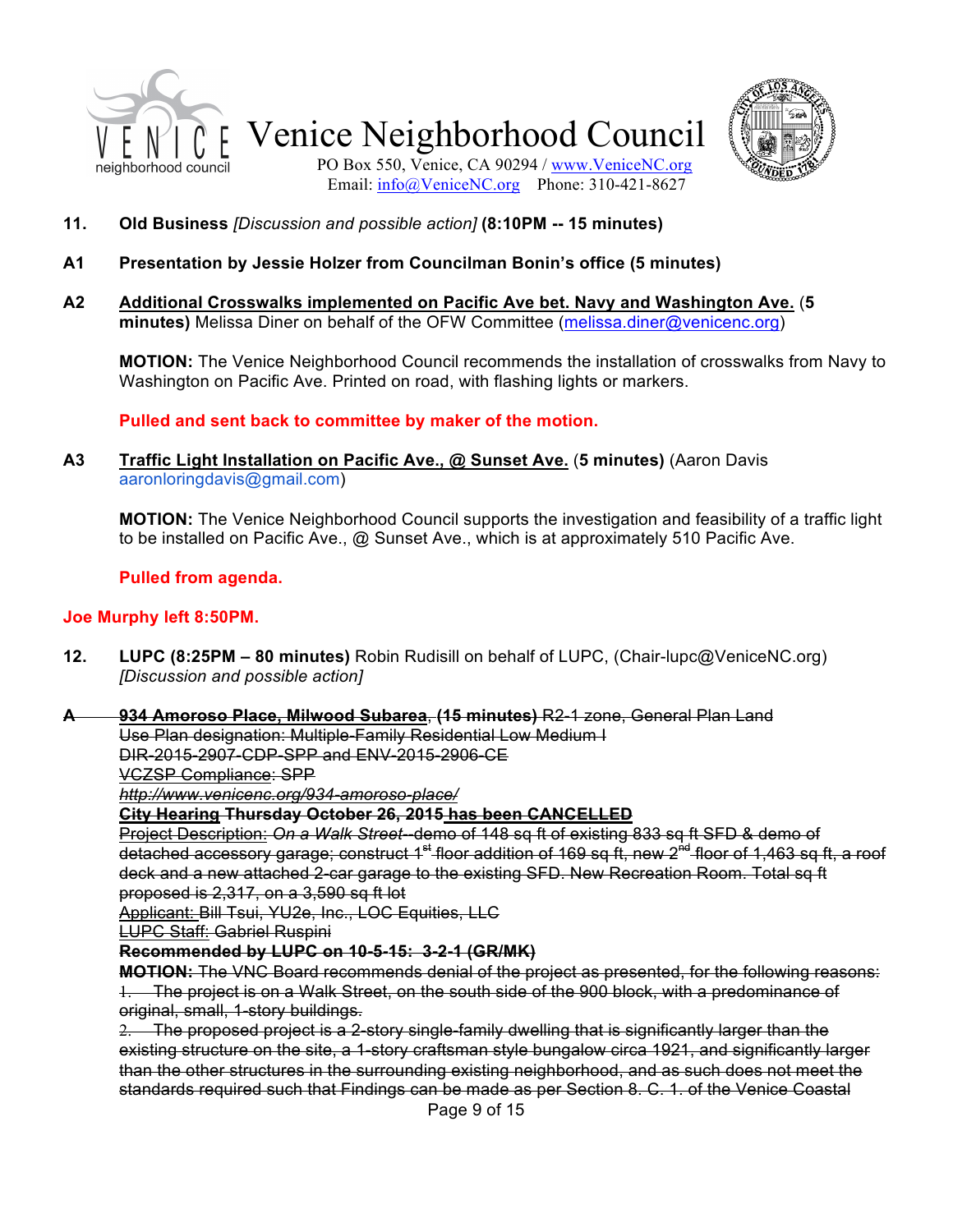

PO Box 550, Venice, CA 90294 / www.VeniceNC.org Email: info@VeniceNC.org Phone: 310-421-8627



- **11. Old Business** *[Discussion and possible action]* **(8:10PM -- 15 minutes)**
- **A1 Presentation by Jessie Holzer from Councilman Bonin's office (5 minutes)**
- **A2 Additional Crosswalks implemented on Pacific Ave bet. Navy and Washington Ave.** (**5 minutes)** Melissa Diner on behalf of the OFW Committee (melissa.diner@venicenc.org)

**MOTION:** The Venice Neighborhood Council recommends the installation of crosswalks from Navy to Washington on Pacific Ave. Printed on road, with flashing lights or markers.

**Pulled and sent back to committee by maker of the motion.**

**A3 Traffic Light Installation on Pacific Ave., @ Sunset Ave.** (**5 minutes)** (Aaron Davis aaronloringdavis@gmail.com)

**MOTION:** The Venice Neighborhood Council supports the investigation and feasibility of a traffic light to be installed on Pacific Ave., @ Sunset Ave., which is at approximately 510 Pacific Ave.

**Pulled from agenda.**

#### **Joe Murphy left 8:50PM.**

- **12. LUPC (8:25PM 80 minutes)** Robin Rudisill on behalf of LUPC, (Chair-lupc@VeniceNC.org) *[Discussion and possible action]*
- **A 934 Amoroso Place, Milwood Subarea**, **(15 minutes)** R2-1 zone, General Plan Land Use Plan designation: Multiple-Family Residential Low Medium I DIR-2015-2907-CDP-SPP and ENV-2015-2906-CE VCZSP Compliance: SPP

*http://www.venicenc.org/934-amoroso-place/*

**City Hearing Thursday October 26, 2015 has been CANCELLED**

Project Description: *On a Walk Street*--demo of 148 sq ft of existing 833 sq ft SFD & demo of detached accessory garage; construct 1<sup>st</sup> floor addition of 169 sq ft, new 2<sup>nd</sup> floor of 1,463 sq ft, a roof deck and a new attached 2-car garage to the existing SFD. New Recreation Room. Total sq ft proposed is 2,317, on a 3,590 sq ft lot

Applicant: Bill Tsui, YU2e, Inc., LOC Equities, LLC

LUPC Staff: Gabriel Ruspini

**Recommended by LUPC on 10-5-15: 3-2-1 (GR/MK)**

**MOTION:** The VNC Board recommends denial of the project as presented, for the following reasons: 1. The project is on a Walk Street, on the south side of the 900 block, with a predominance of original, small, 1-story buildings.

 $2.$  The proposed project is a 2-story single-family dwelling that is significantly larger than the existing structure on the site, a 1-story craftsman style bungalow circa 1921, and significantly larger than the other structures in the surrounding existing neighborhood, and as such does not meet the standards required such that Findings can be made as per Section 8. C. 1. of the Venice Coastal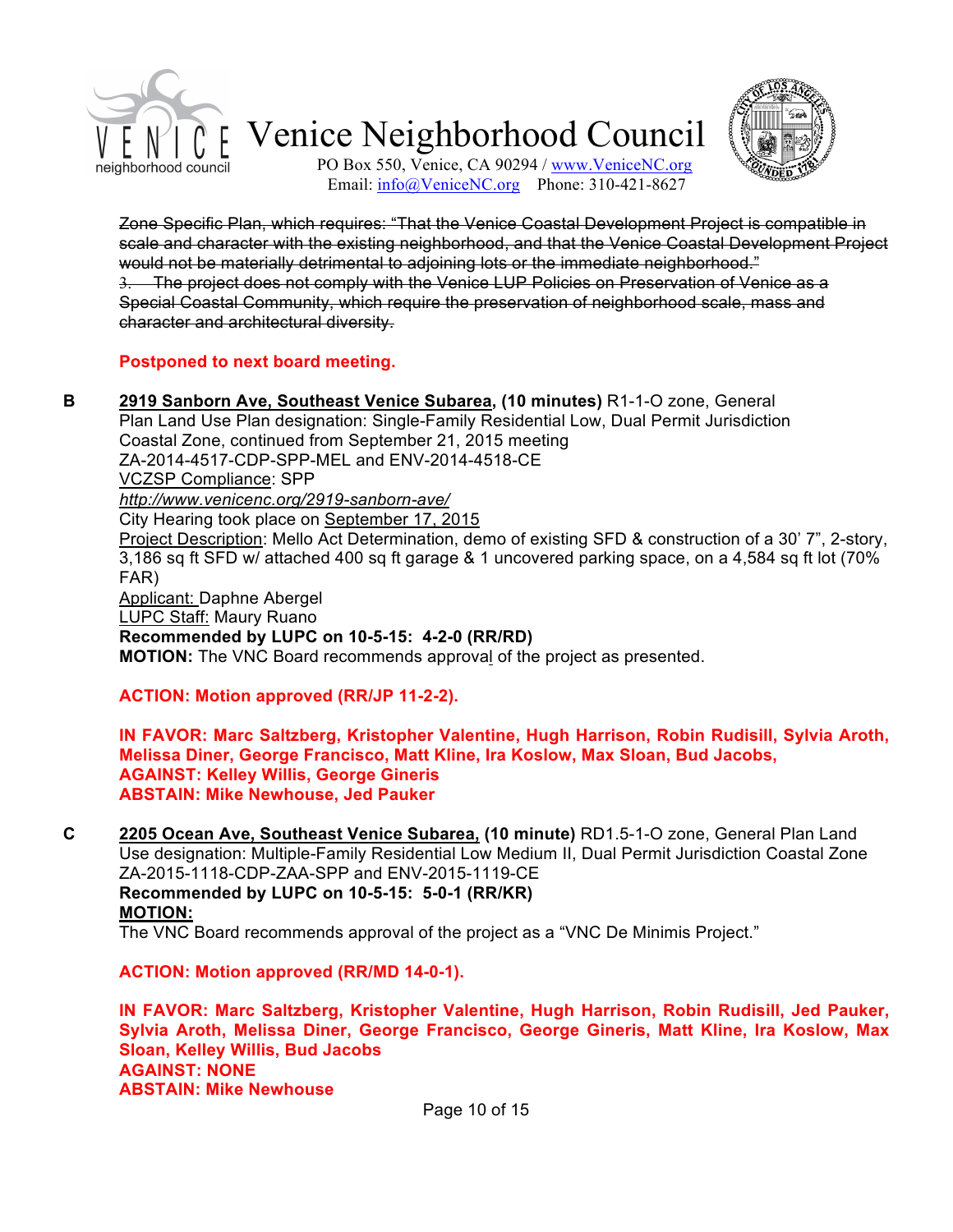



PO Box 550, Venice, CA 90294 / www.VeniceNC.org Email: info@VeniceNC.org Phone: 310-421-8627

Zone Specific Plan, which requires: "That the Venice Coastal Development Project is compatible in scale and character with the existing neighborhood, and that the Venice Coastal Development Project would not be materially detrimental to adjoining lots or the immediate neighborhood." 3. The project does not comply with the Venice LUP Policies on Preservation of Venice as a Special Coastal Community, which require the preservation of neighborhood scale, mass and character and architectural diversity.

#### **Postponed to next board meeting.**

**B 2919 Sanborn Ave, Southeast Venice Subarea, (10 minutes)** R1-1-O zone, General Plan Land Use Plan designation: Single-Family Residential Low, Dual Permit Jurisdiction Coastal Zone, continued from September 21, 2015 meeting ZA-2014-4517-CDP-SPP-MEL and ENV-2014-4518-CE VCZSP Compliance: SPP *http://www.venicenc.org/2919-sanborn-ave/* City Hearing took place on September 17, 2015 Project Description: Mello Act Determination, demo of existing SFD & construction of a 30' 7", 2-story, 3,186 sq ft SFD w/ attached 400 sq ft garage & 1 uncovered parking space, on a 4,584 sq ft lot (70% FAR) Applicant: Daphne Abergel LUPC Staff: Maury Ruano **Recommended by LUPC on 10-5-15: 4-2-0 (RR/RD) MOTION:** The VNC Board recommends approval of the project as presented.

### **ACTION: Motion approved (RR/JP 11-2-2).**

**IN FAVOR: Marc Saltzberg, Kristopher Valentine, Hugh Harrison, Robin Rudisill, Sylvia Aroth, Melissa Diner, George Francisco, Matt Kline, Ira Koslow, Max Sloan, Bud Jacobs, AGAINST: Kelley Willis, George Gineris ABSTAIN: Mike Newhouse, Jed Pauker**

**C 2205 Ocean Ave, Southeast Venice Subarea, (10 minute)** RD1.5-1-O zone, General Plan Land Use designation: Multiple-Family Residential Low Medium II, Dual Permit Jurisdiction Coastal Zone ZA-2015-1118-CDP-ZAA-SPP and ENV-2015-1119-CE **Recommended by LUPC on 10-5-15: 5-0-1 (RR/KR) MOTION:**

The VNC Board recommends approval of the project as a "VNC De Minimis Project."

**ACTION: Motion approved (RR/MD 14-0-1).**

**IN FAVOR: Marc Saltzberg, Kristopher Valentine, Hugh Harrison, Robin Rudisill, Jed Pauker, Sylvia Aroth, Melissa Diner, George Francisco, George Gineris, Matt Kline, Ira Koslow, Max Sloan, Kelley Willis, Bud Jacobs AGAINST: NONE ABSTAIN: Mike Newhouse**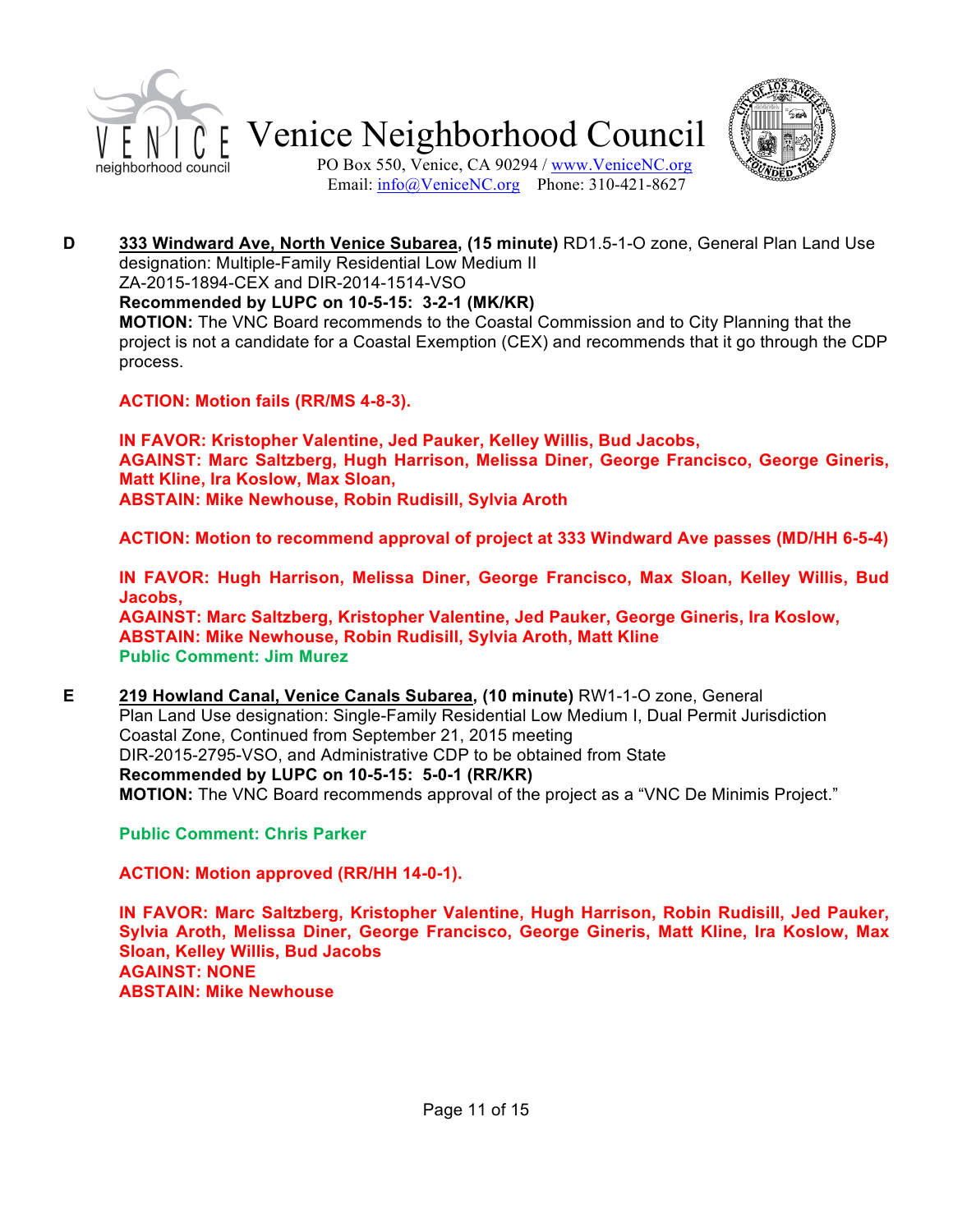



PO Box 550, Venice, CA 90294 / www.VeniceNC.org Email: info@VeniceNC.org Phone: 310-421-8627

**D 333 Windward Ave, North Venice Subarea, (15 minute)** RD1.5-1-O zone, General Plan Land Use designation: Multiple-Family Residential Low Medium II

ZA-2015-1894-CEX and DIR-2014-1514-VSO

**Recommended by LUPC on 10-5-15: 3-2-1 (MK/KR)**

**MOTION:** The VNC Board recommends to the Coastal Commission and to City Planning that the project is not a candidate for a Coastal Exemption (CEX) and recommends that it go through the CDP process.

**ACTION: Motion fails (RR/MS 4-8-3).**

**IN FAVOR: Kristopher Valentine, Jed Pauker, Kelley Willis, Bud Jacobs, AGAINST: Marc Saltzberg, Hugh Harrison, Melissa Diner, George Francisco, George Gineris, Matt Kline, Ira Koslow, Max Sloan, ABSTAIN: Mike Newhouse, Robin Rudisill, Sylvia Aroth**

**ACTION: Motion to recommend approval of project at 333 Windward Ave passes (MD/HH 6-5-4)**

**IN FAVOR: Hugh Harrison, Melissa Diner, George Francisco, Max Sloan, Kelley Willis, Bud Jacobs,**

**AGAINST: Marc Saltzberg, Kristopher Valentine, Jed Pauker, George Gineris, Ira Koslow, ABSTAIN: Mike Newhouse, Robin Rudisill, Sylvia Aroth, Matt Kline Public Comment: Jim Murez**

**E 219 Howland Canal, Venice Canals Subarea, (10 minute)** RW1-1-O zone, General Plan Land Use designation: Single-Family Residential Low Medium I, Dual Permit Jurisdiction Coastal Zone, Continued from September 21, 2015 meeting DIR-2015-2795-VSO, and Administrative CDP to be obtained from State **Recommended by LUPC on 10-5-15: 5-0-1 (RR/KR) MOTION:** The VNC Board recommends approval of the project as a "VNC De Minimis Project."

**Public Comment: Chris Parker**

**ACTION: Motion approved (RR/HH 14-0-1).**

**IN FAVOR: Marc Saltzberg, Kristopher Valentine, Hugh Harrison, Robin Rudisill, Jed Pauker, Sylvia Aroth, Melissa Diner, George Francisco, George Gineris, Matt Kline, Ira Koslow, Max Sloan, Kelley Willis, Bud Jacobs AGAINST: NONE ABSTAIN: Mike Newhouse**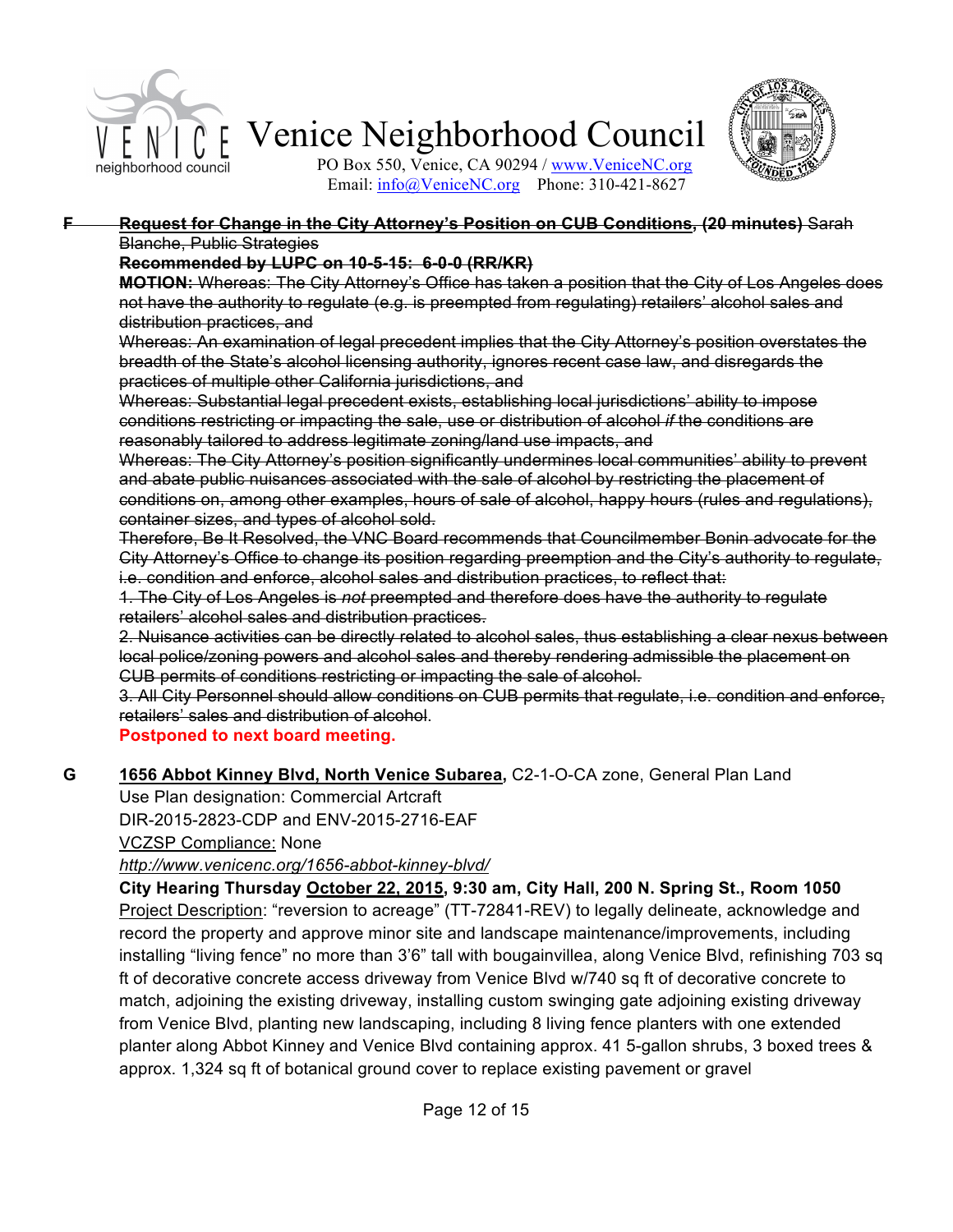



PO Box 550, Venice, CA 90294 / www.VeniceNC.org Email: info@VeniceNC.org Phone: 310-421-8627

#### **F Request for Change in the City Attorney's Position on CUB Conditions, (20 minutes)** Sarah Blanche, Public Strategies

### **Recommended by LUPC on 10-5-15: 6-0-0 (RR/KR)**

**MOTION:** Whereas: The City Attorney's Office has taken a position that the City of Los Angeles does not have the authority to regulate (e.g. is preempted from regulating) retailers' alcohol sales and distribution practices, and

Whereas: An examination of legal precedent implies that the City Attorney's position overstates the breadth of the State's alcohol licensing authority, ignores recent case law, and disregards the practices of multiple other California jurisdictions, and

Whereas: Substantial legal precedent exists, establishing local jurisdictions' ability to impose conditions restricting or impacting the sale, use or distribution of alcohol *if* the conditions are reasonably tailored to address legitimate zoning/land use impacts, and

Whereas: The City Attorney's position significantly undermines local communities' ability to prevent and abate public nuisances associated with the sale of alcohol by restricting the placement of conditions on, among other examples, hours of sale of alcohol, happy hours (rules and regulations), container sizes, and types of alcohol sold.

Therefore, Be It Resolved, the VNC Board recommends that Councilmember Bonin advocate for the City Attorney's Office to change its position regarding preemption and the City's authority to regulate, i.e. condition and enforce, alcohol sales and distribution practices, to reflect that:

1. The City of Los Angeles is *not* preempted and therefore does have the authority to regulate retailers' alcohol sales and distribution practices.

2. Nuisance activities can be directly related to alcohol sales, thus establishing a clear nexus between local police/zoning powers and alcohol sales and thereby rendering admissible the placement on CUB permits of conditions restricting or impacting the sale of alcohol.

3. All City Personnel should allow conditions on CUB permits that regulate, i.e. condition and enforce, retailers' sales and distribution of alcohol.

## **Postponed to next board meeting.**

**G 1656 Abbot Kinney Blvd, North Venice Subarea,** C2-1-O-CA zone, General Plan Land

Use Plan designation: Commercial Artcraft

DIR-2015-2823-CDP and ENV-2015-2716-EAF

VCZSP Compliance: None

*http://www.venicenc.org/1656-abbot-kinney-blvd/*

**City Hearing Thursday October 22, 2015, 9:30 am, City Hall, 200 N. Spring St., Room 1050** Project Description: "reversion to acreage" (TT-72841-REV) to legally delineate, acknowledge and record the property and approve minor site and landscape maintenance/improvements, including installing "living fence" no more than 3'6" tall with bougainvillea, along Venice Blvd, refinishing 703 sq ft of decorative concrete access driveway from Venice Blvd w/740 sq ft of decorative concrete to match, adjoining the existing driveway, installing custom swinging gate adjoining existing driveway from Venice Blvd, planting new landscaping, including 8 living fence planters with one extended planter along Abbot Kinney and Venice Blvd containing approx. 41 5-gallon shrubs, 3 boxed trees & approx. 1,324 sq ft of botanical ground cover to replace existing pavement or gravel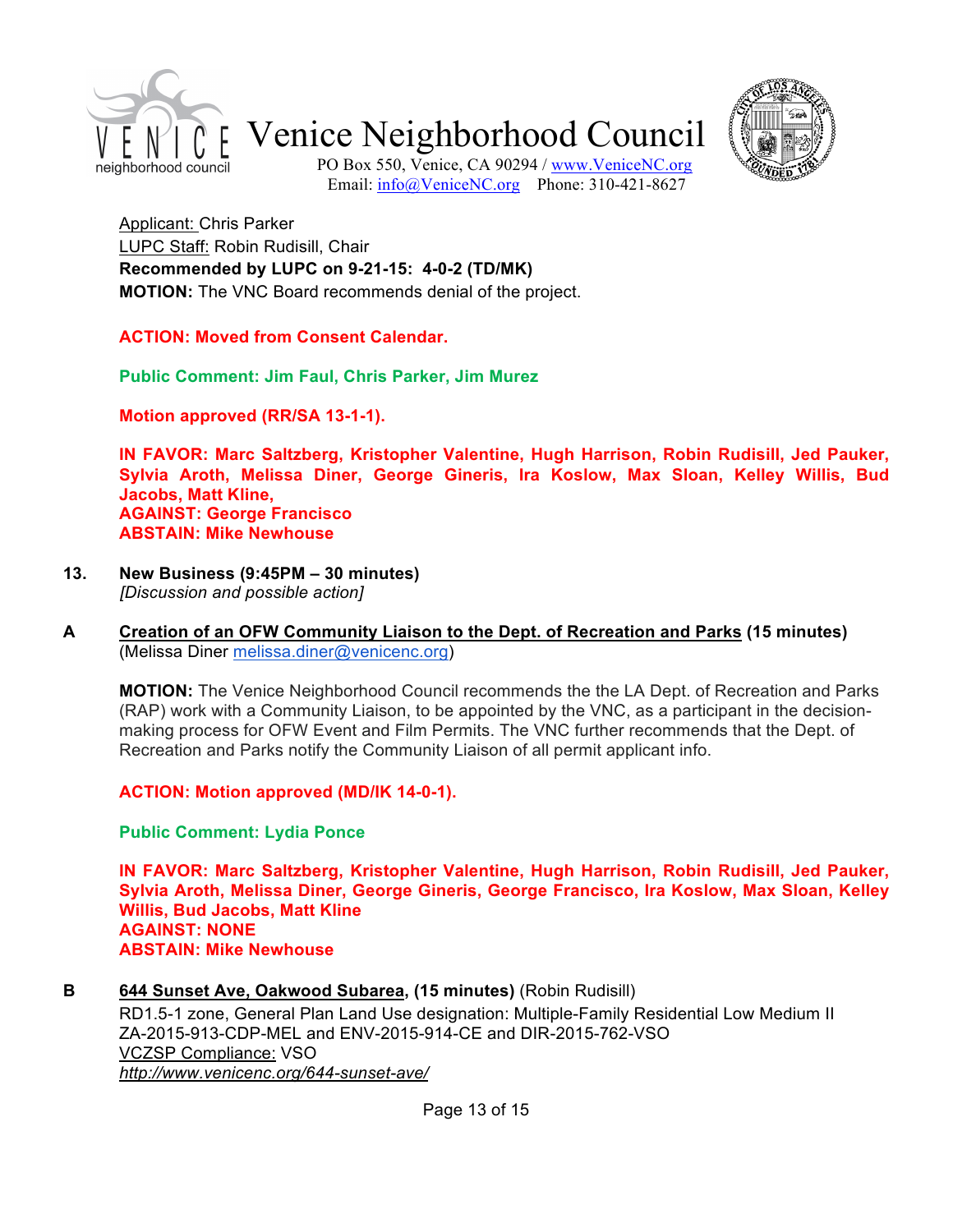



PO Box 550, Venice, CA 90294 / www.VeniceNC.org Email: info@VeniceNC.org Phone: 310-421-8627

Applicant: Chris Parker LUPC Staff: Robin Rudisill, Chair **Recommended by LUPC on 9-21-15: 4-0-2 (TD/MK) MOTION:** The VNC Board recommends denial of the project.

**ACTION: Moved from Consent Calendar.**

**Public Comment: Jim Faul, Chris Parker, Jim Murez**

**Motion approved (RR/SA 13-1-1).**

**IN FAVOR: Marc Saltzberg, Kristopher Valentine, Hugh Harrison, Robin Rudisill, Jed Pauker, Sylvia Aroth, Melissa Diner, George Gineris, Ira Koslow, Max Sloan, Kelley Willis, Bud Jacobs, Matt Kline, AGAINST: George Francisco ABSTAIN: Mike Newhouse**

- **13. New Business (9:45PM 30 minutes)** *[Discussion and possible action]*
- **A Creation of an OFW Community Liaison to the Dept. of Recreation and Parks (15 minutes)**  (Melissa Diner melissa.diner@venicenc.org)

**MOTION:** The Venice Neighborhood Council recommends the the LA Dept. of Recreation and Parks (RAP) work with a Community Liaison, to be appointed by the VNC, as a participant in the decisionmaking process for OFW Event and Film Permits. The VNC further recommends that the Dept. of Recreation and Parks notify the Community Liaison of all permit applicant info.

**ACTION: Motion approved (MD/IK 14-0-1).**

**Public Comment: Lydia Ponce**

**IN FAVOR: Marc Saltzberg, Kristopher Valentine, Hugh Harrison, Robin Rudisill, Jed Pauker, Sylvia Aroth, Melissa Diner, George Gineris, George Francisco, Ira Koslow, Max Sloan, Kelley Willis, Bud Jacobs, Matt Kline AGAINST: NONE ABSTAIN: Mike Newhouse**

**B 644 Sunset Ave, Oakwood Subarea, (15 minutes)** (Robin Rudisill)

RD1.5-1 zone, General Plan Land Use designation: Multiple-Family Residential Low Medium II ZA-2015-913-CDP-MEL and ENV-2015-914-CE and DIR-2015-762-VSO VCZSP Compliance: VSO *http://www.venicenc.org/644-sunset-ave/*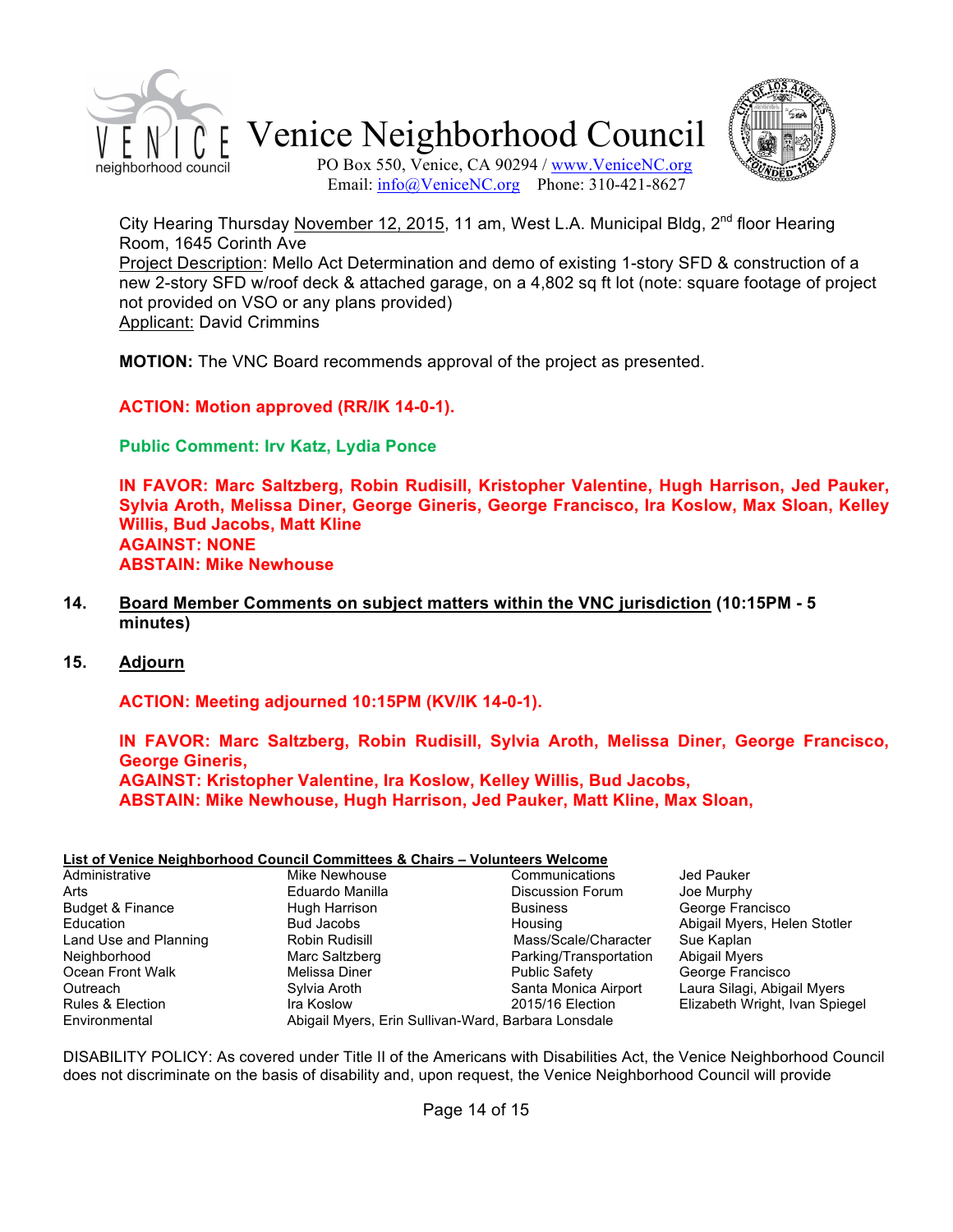



PO Box 550, Venice, CA 90294 / www.VeniceNC.org Email:  $info@V$ eniceNC.org Phone: 310-421-8627

City Hearing Thursday November 12, 2015, 11 am, West L.A. Municipal Bldg, 2<sup>nd</sup> floor Hearing Room, 1645 Corinth Ave

Project Description: Mello Act Determination and demo of existing 1-story SFD & construction of a new 2-story SFD w/roof deck & attached garage, on a 4,802 sq ft lot (note: square footage of project not provided on VSO or any plans provided) Applicant: David Crimmins

**MOTION:** The VNC Board recommends approval of the project as presented.

**ACTION: Motion approved (RR/IK 14-0-1).**

**Public Comment: Irv Katz, Lydia Ponce**

**IN FAVOR: Marc Saltzberg, Robin Rudisill, Kristopher Valentine, Hugh Harrison, Jed Pauker, Sylvia Aroth, Melissa Diner, George Gineris, George Francisco, Ira Koslow, Max Sloan, Kelley Willis, Bud Jacobs, Matt Kline AGAINST: NONE ABSTAIN: Mike Newhouse**

- **14. Board Member Comments on subject matters within the VNC jurisdiction (10:15PM 5 minutes)**
- **15. Adjourn**

**ACTION: Meeting adjourned 10:15PM (KV/IK 14-0-1).**

**IN FAVOR: Marc Saltzberg, Robin Rudisill, Sylvia Aroth, Melissa Diner, George Francisco, George Gineris, AGAINST: Kristopher Valentine, Ira Koslow, Kelley Willis, Bud Jacobs, ABSTAIN: Mike Newhouse, Hugh Harrison, Jed Pauker, Matt Kline, Max Sloan,**

#### **List of Venice Neighborhood Council Committees & Chairs – Volunteers Welcome**

| Administrative              | Mike Newhouse                                       | Communications          | Jed Pauker                     |
|-----------------------------|-----------------------------------------------------|-------------------------|--------------------------------|
| Arts                        | Eduardo Manilla                                     | <b>Discussion Forum</b> | Joe Murphy                     |
| <b>Budget &amp; Finance</b> | Hugh Harrison                                       | <b>Business</b>         | George Francisco               |
| Education                   | Bud Jacobs                                          | Housing                 | Abigail Myers, Helen Stotler   |
| Land Use and Planning       | Robin Rudisill                                      | Mass/Scale/Character    | Sue Kaplan                     |
| Neighborhood                | Marc Saltzberg                                      | Parking/Transportation  | Abigail Myers                  |
| Ocean Front Walk            | Melissa Diner                                       | <b>Public Safety</b>    | George Francisco               |
| Outreach                    | Sylvia Aroth                                        | Santa Monica Airport    | Laura Silagi, Abigail Myers    |
| Rules & Election            | Ira Koslow                                          | 2015/16 Election        | Elizabeth Wright, Ivan Spiegel |
| Environmental               | Abigail Myers, Erin Sullivan-Ward, Barbara Lonsdale |                         |                                |

DISABILITY POLICY: As covered under Title II of the Americans with Disabilities Act, the Venice Neighborhood Council does not discriminate on the basis of disability and, upon request, the Venice Neighborhood Council will provide